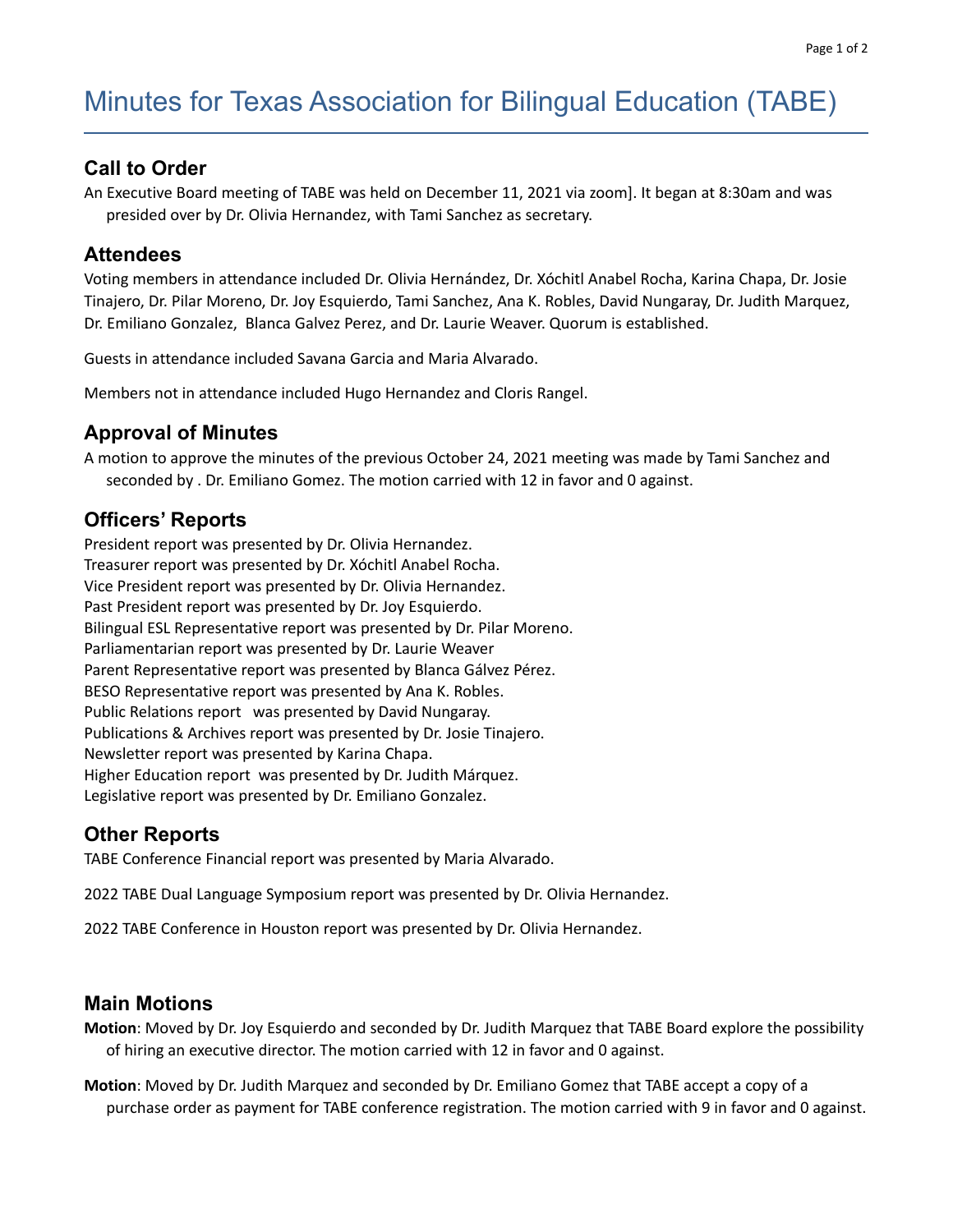# Minutes for Texas Association for Bilingual Education (TABE)

#### **Call to Order**

An Executive Board meeting of TABE was held on December 11, 2021 via zoom]. It began at 8:30am and was presided over by Dr. Olivia Hernandez, with Tami Sanchez as secretary.

#### **Attendees**

Voting members in attendance included Dr. Olivia Hernández, Dr. Xóchitl Anabel Rocha, Karina Chapa, Dr. Josie Tinajero, Dr. Pilar Moreno, Dr. Joy Esquierdo, Tami Sanchez, Ana K. Robles, David Nungaray, Dr. Judith Marquez, Dr. Emiliano Gonzalez, Blanca Galvez Perez, and Dr. Laurie Weaver. Quorum is established.

Guests in attendance included Savana Garcia and Maria Alvarado.

Members not in attendance included Hugo Hernandez and Cloris Rangel.

#### **Approval of Minutes**

A motion to approve the minutes of the previous October 24, 2021 meeting was made by Tami Sanchez and seconded by . Dr. Emiliano Gomez. The motion carried with 12 in favor and 0 against.

## **Officers' Reports**

President report was presented by Dr. Olivia Hernandez. Treasurer report was presented by Dr. Xóchitl Anabel Rocha. Vice President report was presented by Dr. Olivia Hernandez. Past President report was presented by Dr. Joy Esquierdo. Bilingual ESL Representative report was presented by Dr. Pilar Moreno. Parliamentarian report was presented by Dr. Laurie Weaver Parent Representative report was presented by Blanca Gálvez Pérez. BESO Representative report was presented by Ana K. Robles. Public Relations report was presented by David Nungaray. Publications & Archives report was presented by Dr. Josie Tinajero. Newsletter report was presented by Karina Chapa. Higher Education report was presented by Dr. Judith Márquez. Legislative report was presented by Dr. Emiliano Gonzalez.

## **Other Reports**

TABE Conference Financial report was presented by Maria Alvarado.

2022 TABE Dual Language Symposium report was presented by Dr. Olivia Hernandez.

2022 TABE Conference in Houston report was presented by Dr. Olivia Hernandez.

#### **Main Motions**

**Motion**: Moved by Dr. Joy Esquierdo and seconded by Dr. Judith Marquez that TABE Board explore the possibility of hiring an executive director. The motion carried with 12 in favor and 0 against.

**Motion**: Moved by Dr. Judith Marquez and seconded by Dr. Emiliano Gomez that TABE accept a copy of a purchase order as payment for TABE conference registration. The motion carried with 9 in favor and 0 against.